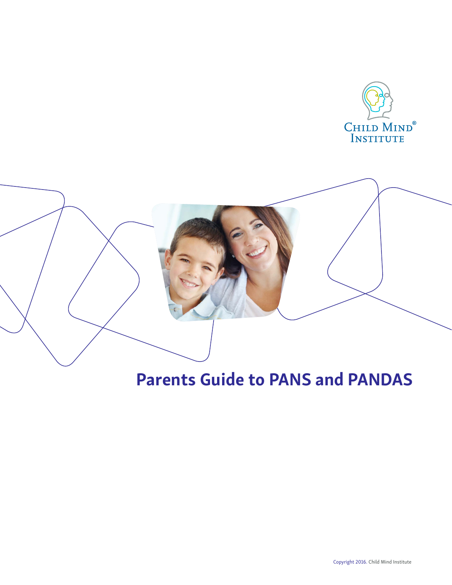



# Parents Guide to PANS and PANDAS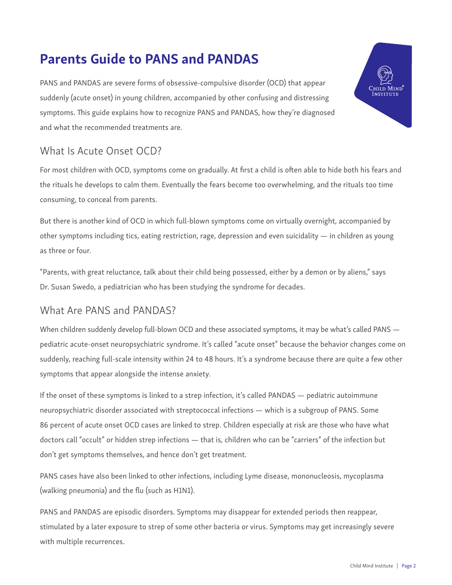## Parents Guide to PANS and PANDAS

PANS and PANDAS are severe forms of obsessive-compulsive disorder (OCD) that appear suddenly (acute onset) in young children, accompanied by other confusing and distressing symptoms. This guide explains how to recognize PANS and PANDAS, how they're diagnosed and what the recommended treatments are.

### What Is Acute Onset OCD?

For most children with OCD, symptoms come on gradually. At first a child is often able to hide both his fears and the rituals he develops to calm them. Eventually the fears become too overwhelming, and the rituals too time consuming, to conceal from parents.

But there is another kind of OCD in which full-blown symptoms come on virtually overnight, accompanied by other symptoms including tics, eating restriction, rage, depression and even suicidality — in children as young as three or four.

"Parents, with great reluctance, talk about their child being possessed, either by a demon or by aliens," says Dr. Susan Swedo, a pediatrician who has been studying the syndrome for decades.

#### What Are PANS and PANDAS?

When children suddenly develop full-blown OCD and these associated symptoms, it may be what's called PANS pediatric acute-onset neuropsychiatric syndrome. It's called "acute onset" because the behavior changes come on suddenly, reaching full-scale intensity within 24 to 48 hours. It's a syndrome because there are quite a few other symptoms that appear alongside the intense anxiety.

If the onset of these symptoms is linked to a strep infection, it's called PANDAS — pediatric autoimmune neuropsychiatric disorder associated with streptococcal infections — which is a subgroup of PANS. Some 86 percent of acute onset OCD cases are linked to strep. Children especially at risk are those who have what doctors call "occult" or hidden strep infections — that is, children who can be "carriers" of the infection but don't get symptoms themselves, and hence don't get treatment.

PANS cases have also been linked to other infections, including Lyme disease, mononucleosis, mycoplasma (walking pneumonia) and the flu (such as H1N1).

PANS and PANDAS are episodic disorders. Symptoms may disappear for extended periods then reappear, stimulated by a later exposure to strep of some other bacteria or virus. Symptoms may get increasingly severe with multiple recurrences.

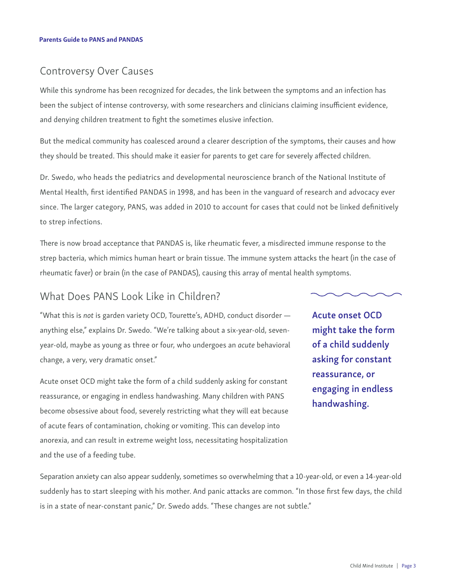#### Controversy Over Causes

While this syndrome has been recognized for decades, the link between the symptoms and an infection has been the subject of intense controversy, with some researchers and clinicians claiming insufficient evidence, and denying children treatment to fight the sometimes elusive infection.

But the medical community has coalesced around a clearer description of the symptoms, their causes and how they should be treated. This should make it easier for parents to get care for severely affected children.

Dr. Swedo, who heads the pediatrics and developmental neuroscience branch of the National Institute of Mental Health, first identified PANDAS in 1998, and has been in the vanguard of research and advocacy ever since. The larger category, PANS, was added in 2010 to account for cases that could not be linked definitively to strep infections.

There is now broad acceptance that PANDAS is, like rheumatic fever, a misdirected immune response to the strep bacteria, which mimics human heart or brain tissue. The immune system attacks the heart (in the case of rheumatic faver) or brain (in the case of PANDAS), causing this array of mental health symptoms.

#### What Does PANS Look Like in Children?

"What this is *not* is garden variety OCD, Tourette's, ADHD, conduct disorder anything else," explains Dr. Swedo. "We're talking about a six-year-old, sevenyear-old, maybe as young as three or four, who undergoes an *acute* behavioral change, a very, very dramatic onset."

Acute onset OCD might take the form of a child suddenly asking for constant reassurance, or engaging in endless handwashing. Many children with PANS become obsessive about food, severely restricting what they will eat because of acute fears of contamination, choking or vomiting. This can develop into anorexia, and can result in extreme weight loss, necessitating hospitalization and the use of a feeding tube.

Acute onset OCD might take the form of a child suddenly asking for constant reassurance, or engaging in endless handwashing.

Separation anxiety can also appear suddenly, sometimes so overwhelming that a 10-year-old, or even a 14-year-old suddenly has to start sleeping with his mother. And panic attacks are common. "In those first few days, the child is in a state of near-constant panic," Dr. Swedo adds. "These changes are not subtle."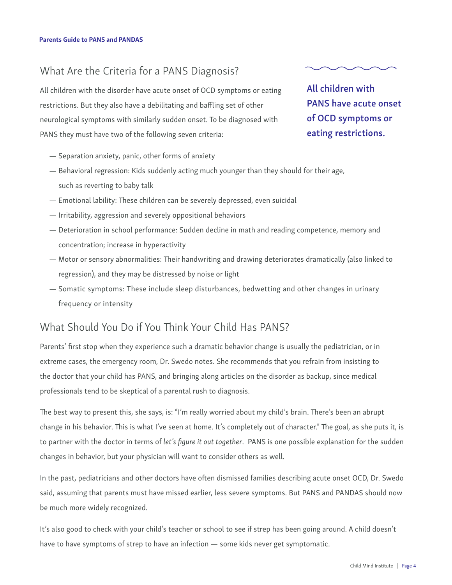#### What Are the Criteria for a PANS Diagnosis?

All children with the disorder have acute onset of OCD symptoms or eating restrictions. But they also have a debilitating and baffling set of other neurological symptoms with similarly sudden onset. To be diagnosed with PANS they must have two of the following seven criteria:

All children with PANS have acute onset of OCD symptoms or eating restrictions.

- Separation anxiety, panic, other forms of anxiety
- Behavioral regression: Kids suddenly acting much younger than they should for their age, such as reverting to baby talk
- Emotional lability: These children can be severely depressed, even suicidal
- Irritability, aggression and severely oppositional behaviors
- Deterioration in school performance: Sudden decline in math and reading competence, memory and concentration; increase in hyperactivity
- Motor or sensory abnormalities: Their handwriting and drawing deteriorates dramatically (also linked to regression), and they may be distressed by noise or light
- Somatic symptoms: These include sleep disturbances, bedwetting and other changes in urinary frequency or intensity

#### What Should You Do if You Think Your Child Has PANS?

Parents' first stop when they experience such a dramatic behavior change is usually the pediatrician, or in extreme cases, the emergency room, Dr. Swedo notes. She recommends that you refrain from insisting to the doctor that your child has PANS, and bringing along articles on the disorder as backup, since medical professionals tend to be skeptical of a parental rush to diagnosis.

The best way to present this, she says, is: "I'm really worried about my child's brain. There's been an abrupt change in his behavior. This is what I've seen at home. It's completely out of character." The goal, as she puts it, is to partner with the doctor in terms of let's figure it out together. PANS is one possible explanation for the sudden changes in behavior, but your physician will want to consider others as well.

In the past, pediatricians and other doctors have often dismissed families describing acute onset OCD, Dr. Swedo said, assuming that parents must have missed earlier, less severe symptoms. But PANS and PANDAS should now be much more widely recognized.

It's also good to check with your child's teacher or school to see if strep has been going around. A child doesn't have to have symptoms of strep to have an infection — some kids never get symptomatic.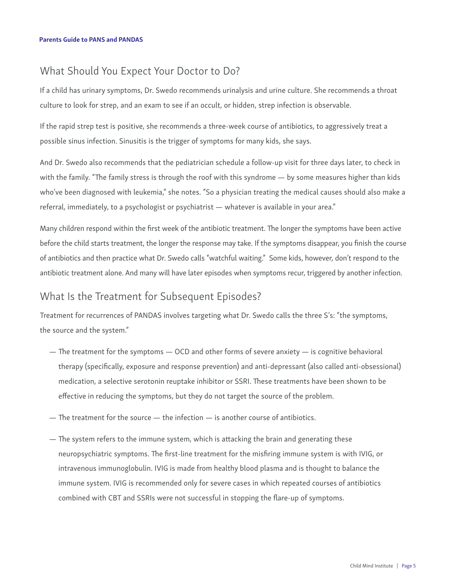#### What Should You Expect Your Doctor to Do?

If a child has urinary symptoms, Dr. Swedo recommends urinalysis and urine culture. She recommends a throat culture to look for strep, and an exam to see if an occult, or hidden, strep infection is observable.

If the rapid strep test is positive, she recommends a three-week course of antibiotics, to aggressively treat a possible sinus infection. Sinusitis is the trigger of symptoms for many kids, she says.

And Dr. Swedo also recommends that the pediatrician schedule a follow-up visit for three days later, to check in with the family. "The family stress is through the roof with this syndrome — by some measures higher than kids who've been diagnosed with leukemia," she notes. "So a physician treating the medical causes should also make a referral, immediately, to a psychologist or psychiatrist — whatever is available in your area."

Many children respond within the first week of the antibiotic treatment. The longer the symptoms have been active before the child starts treatment, the longer the response may take. If the symptoms disappear, you finish the course of antibiotics and then practice what Dr. Swedo calls "watchful waiting." Some kids, however, don't respond to the antibiotic treatment alone. And many will have later episodes when symptoms recur, triggered by another infection.

#### What Is the Treatment for Subsequent Episodes?

Treatment for recurrences of PANDAS involves targeting what Dr. Swedo calls the three S's: "the symptoms, the source and the system."

- The treatment for the symptoms OCD and other forms of severe anxiety is cognitive behavioral therapy (specifically, exposure and response prevention) and anti-depressant (also called anti-obsessional) medication, a selective serotonin reuptake inhibitor or SSRI. These treatments have been shown to be effective in reducing the symptoms, but they do not target the source of the problem.
- $-$  The treatment for the source  $-$  the infection  $-$  is another course of antibiotics.
- The system refers to the immune system, which is attacking the brain and generating these neuropsychiatric symptoms. The first-line treatment for the misfiring immune system is with IVIG, or intravenous immunoglobulin. IVIG is made from healthy blood plasma and is thought to balance the immune system. IVIG is recommended only for severe cases in which repeated courses of antibiotics combined with CBT and SSRIs were not successful in stopping the flare-up of symptoms.